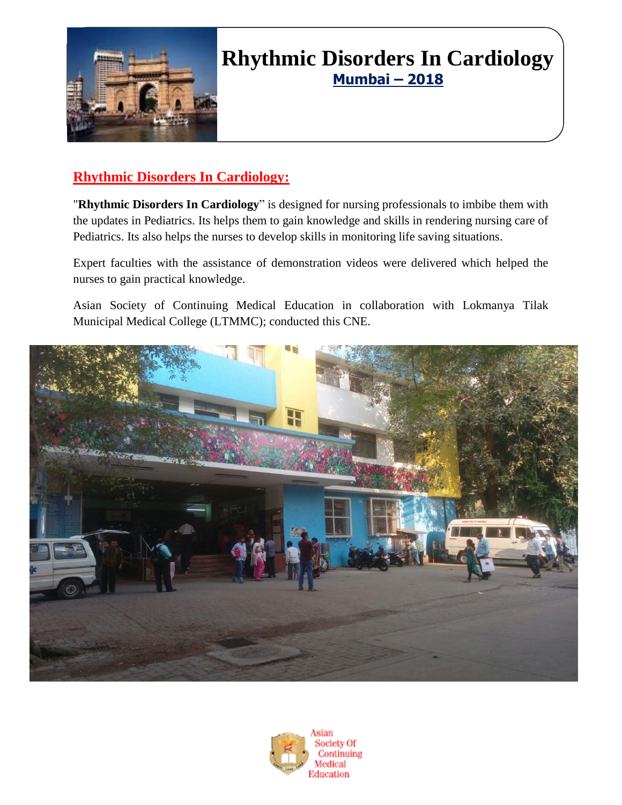

## **Rhythmic Disorders In Cardiology Mumbai – 2018**

### **Rhythmic Disorders In Cardiology:**

"**Rhythmic Disorders In Cardiology**" is designed for nursing professionals to imbibe them with the updates in Pediatrics. Its helps them to gain knowledge and skills in rendering nursing care of Pediatrics. Its also helps the nurses to develop skills in monitoring life saving situations.

Expert faculties with the assistance of demonstration videos were delivered which helped the nurses to gain practical knowledge.

Asian Society of Continuing Medical Education in collaboration with Lokmanya Tilak Municipal Medical College (LTMMC); conducted this CNE.



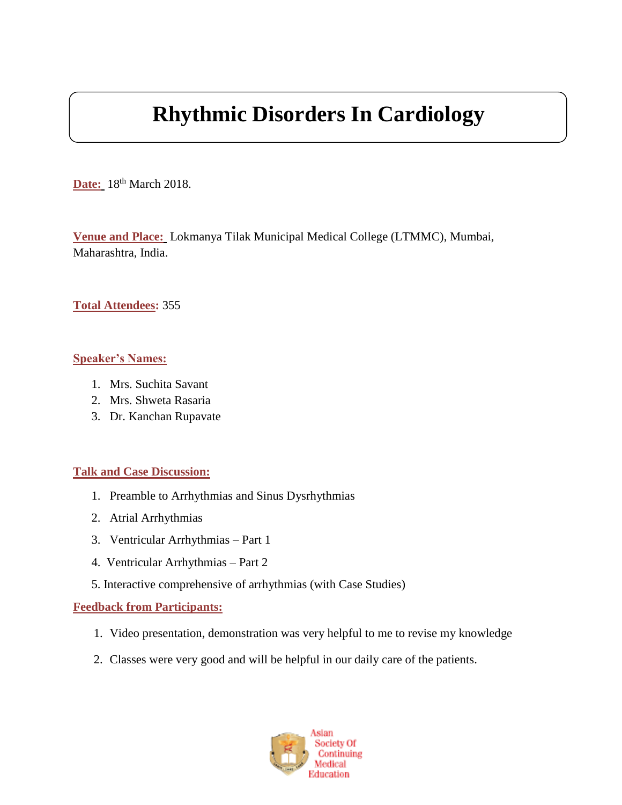# **Rhythmic Disorders In Cardiology**

**Date:** 18<sup>th</sup> March 2018.

**Venue and Place:** Lokmanya Tilak Municipal Medical College (LTMMC), Mumbai, Maharashtra, India.

#### **Total Attendees:** 355

#### **Speaker's Names:**

- 1. Mrs. Suchita Savant
- 2. Mrs. Shweta Rasaria
- 3. Dr. Kanchan Rupavate

#### **Talk and Case Discussion:**

- 1. Preamble to Arrhythmias and Sinus Dysrhythmias
- 2. Atrial Arrhythmias
- 3. Ventricular Arrhythmias Part 1
- 4. Ventricular Arrhythmias Part 2
- 5. Interactive comprehensive of arrhythmias (with Case Studies)

#### **Feedback from Participants:**

- 1. Video presentation, demonstration was very helpful to me to revise my knowledge
- 2. Classes were very good and will be helpful in our daily care of the patients.